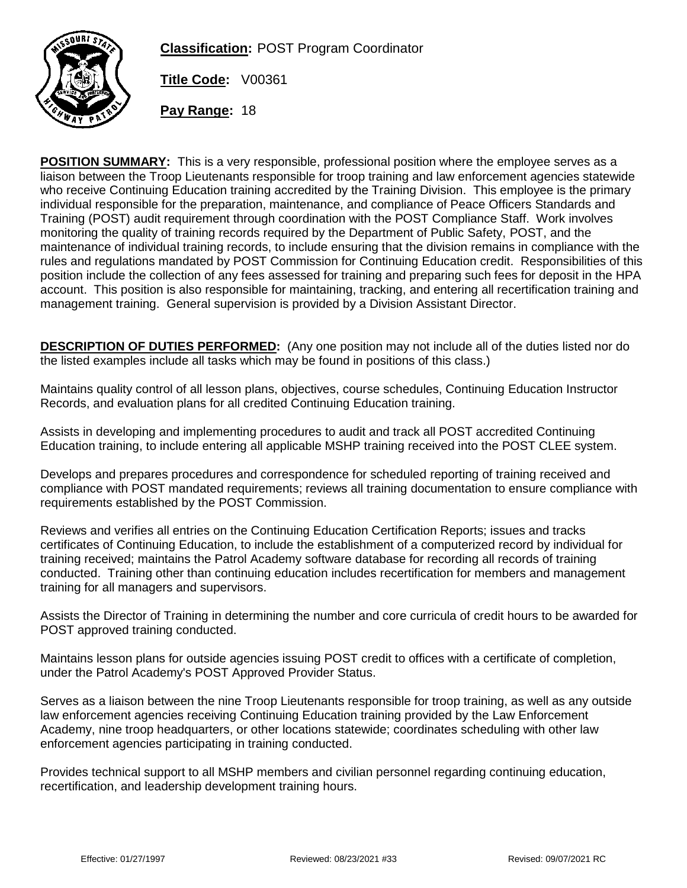

**Classification:** POST Program Coordinator

**Title Code:** V00361

**Pay Range:** 18

**POSITION SUMMARY:** This is a very responsible, professional position where the employee serves as a liaison between the Troop Lieutenants responsible for troop training and law enforcement agencies statewide who receive Continuing Education training accredited by the Training Division. This employee is the primary individual responsible for the preparation, maintenance, and compliance of Peace Officers Standards and Training (POST) audit requirement through coordination with the POST Compliance Staff. Work involves monitoring the quality of training records required by the Department of Public Safety, POST, and the maintenance of individual training records, to include ensuring that the division remains in compliance with the rules and regulations mandated by POST Commission for Continuing Education credit. Responsibilities of this position include the collection of any fees assessed for training and preparing such fees for deposit in the HPA account. This position is also responsible for maintaining, tracking, and entering all recertification training and management training. General supervision is provided by a Division Assistant Director.

**DESCRIPTION OF DUTIES PERFORMED:** (Any one position may not include all of the duties listed nor do the listed examples include all tasks which may be found in positions of this class.)

Maintains quality control of all lesson plans, objectives, course schedules, Continuing Education Instructor Records, and evaluation plans for all credited Continuing Education training.

Assists in developing and implementing procedures to audit and track all POST accredited Continuing Education training, to include entering all applicable MSHP training received into the POST CLEE system.

Develops and prepares procedures and correspondence for scheduled reporting of training received and compliance with POST mandated requirements; reviews all training documentation to ensure compliance with requirements established by the POST Commission.

Reviews and verifies all entries on the Continuing Education Certification Reports; issues and tracks certificates of Continuing Education, to include the establishment of a computerized record by individual for training received; maintains the Patrol Academy software database for recording all records of training conducted. Training other than continuing education includes recertification for members and management training for all managers and supervisors.

Assists the Director of Training in determining the number and core curricula of credit hours to be awarded for POST approved training conducted.

Maintains lesson plans for outside agencies issuing POST credit to offices with a certificate of completion, under the Patrol Academy's POST Approved Provider Status.

Serves as a liaison between the nine Troop Lieutenants responsible for troop training, as well as any outside law enforcement agencies receiving Continuing Education training provided by the Law Enforcement Academy, nine troop headquarters, or other locations statewide; coordinates scheduling with other law enforcement agencies participating in training conducted.

Provides technical support to all MSHP members and civilian personnel regarding continuing education, recertification, and leadership development training hours.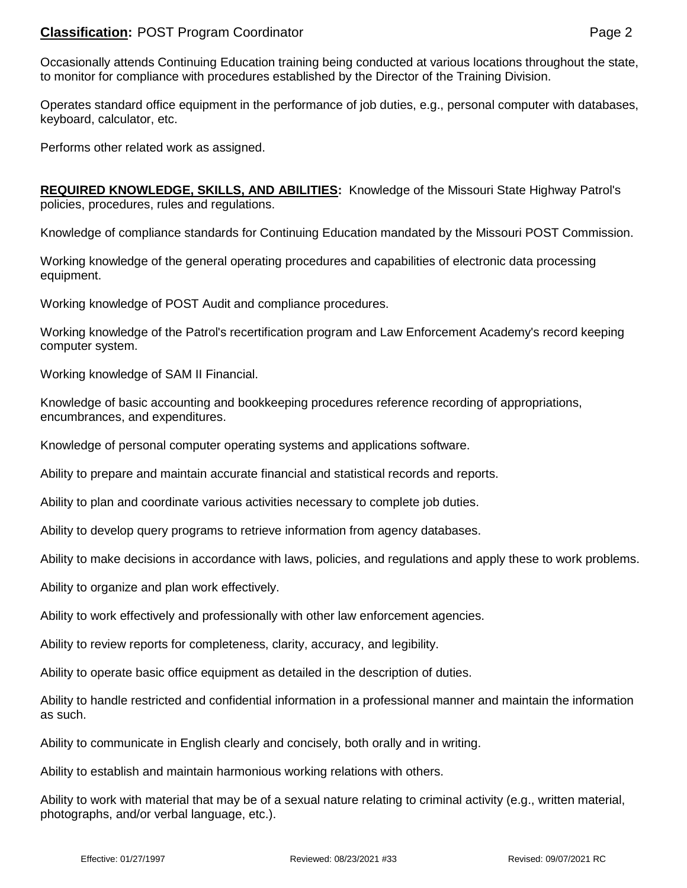## **Classification:** POST Program Coordinator **Page 2 Page 2 Page 2**

Occasionally attends Continuing Education training being conducted at various locations throughout the state, to monitor for compliance with procedures established by the Director of the Training Division.

Operates standard office equipment in the performance of job duties, e.g., personal computer with databases, keyboard, calculator, etc.

Performs other related work as assigned.

**REQUIRED KNOWLEDGE, SKILLS, AND ABILITIES:** Knowledge of the Missouri State Highway Patrol's policies, procedures, rules and regulations.

Knowledge of compliance standards for Continuing Education mandated by the Missouri POST Commission.

Working knowledge of the general operating procedures and capabilities of electronic data processing equipment.

Working knowledge of POST Audit and compliance procedures.

Working knowledge of the Patrol's recertification program and Law Enforcement Academy's record keeping computer system.

Working knowledge of SAM II Financial.

Knowledge of basic accounting and bookkeeping procedures reference recording of appropriations, encumbrances, and expenditures.

Knowledge of personal computer operating systems and applications software.

Ability to prepare and maintain accurate financial and statistical records and reports.

Ability to plan and coordinate various activities necessary to complete job duties.

Ability to develop query programs to retrieve information from agency databases.

Ability to make decisions in accordance with laws, policies, and regulations and apply these to work problems.

Ability to organize and plan work effectively.

Ability to work effectively and professionally with other law enforcement agencies.

Ability to review reports for completeness, clarity, accuracy, and legibility.

Ability to operate basic office equipment as detailed in the description of duties.

Ability to handle restricted and confidential information in a professional manner and maintain the information as such.

Ability to communicate in English clearly and concisely, both orally and in writing.

Ability to establish and maintain harmonious working relations with others.

Ability to work with material that may be of a sexual nature relating to criminal activity (e.g., written material, photographs, and/or verbal language, etc.).